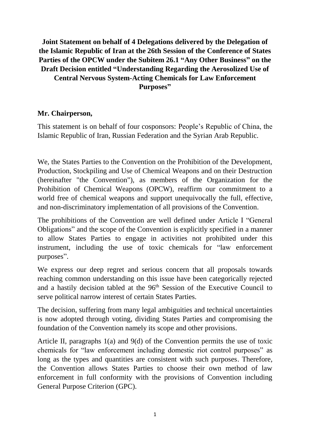## **Joint Statement on behalf of 4 Delegations delivered by the Delegation of the Islamic Republic of Iran at the 26th Session of the Conference of States Parties of the OPCW under the Subitem 26.1 "Any Other Business" on the Draft Decision entitled "Understanding Regarding the Aerosolized Use of Central Nervous System-Acting Chemicals for Law Enforcement Purposes"**

## **Mr. Chairperson,**

This statement is on behalf of four cosponsors: People's Republic of China, the Islamic Republic of Iran, Russian Federation and the Syrian Arab Republic.

We, the States Parties to the Convention on the Prohibition of the Development, Production, Stockpiling and Use of Chemical Weapons and on their Destruction (hereinafter "the Convention"), as members of the Organization for the Prohibition of Chemical Weapons (OPCW), reaffirm our commitment to a world free of chemical weapons and support unequivocally the full, effective, and non-discriminatory implementation of all provisions of the Convention.

The prohibitions of the Convention are well defined under Article I "General Obligations" and the scope of the Convention is explicitly specified in a manner to allow States Parties to engage in activities not prohibited under this instrument, including the use of toxic chemicals for "law enforcement purposes".

We express our deep regret and serious concern that all proposals towards reaching common understanding on this issue have been categorically rejected and a hastily decision tabled at the 96<sup>th</sup> Session of the Executive Council to serve political narrow interest of certain States Parties.

The decision, suffering from many legal ambiguities and technical uncertainties is now adopted through voting, dividing States Parties and compromising the foundation of the Convention namely its scope and other provisions.

Article II, paragraphs 1(a) and 9(d) of the Convention permits the use of toxic chemicals for "law enforcement including domestic riot control purposes" as long as the types and quantities are consistent with such purposes. Therefore, the Convention allows States Parties to choose their own method of law enforcement in full conformity with the provisions of Convention including General Purpose Criterion (GPC).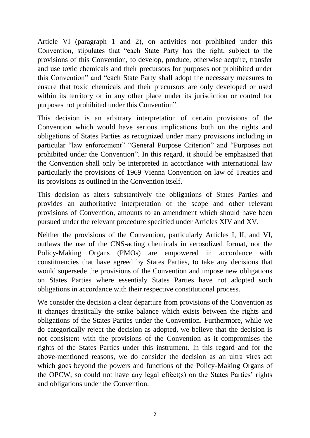Article VI (paragraph 1 and 2), on activities not prohibited under this Convention, stipulates that "each State Party has the right, subject to the provisions of this Convention, to develop, produce, otherwise acquire, transfer and use toxic chemicals and their precursors for purposes not prohibited under this Convention" and "each State Party shall adopt the necessary measures to ensure that toxic chemicals and their precursors are only developed or used within its territory or in any other place under its jurisdiction or control for purposes not prohibited under this Convention".

This decision is an arbitrary interpretation of certain provisions of the Convention which would have serious implications both on the rights and obligations of States Parties as recognized under many provisions including in particular "law enforcement" "General Purpose Criterion" and "Purposes not prohibited under the Convention". In this regard, it should be emphasized that the Convention shall only be interpreted in accordance with international law particularly the provisions of 1969 Vienna Convention on law of Treaties and its provisions as outlined in the Convention itself.

This decision as alters substantively the obligations of States Parties and provides an authoritative interpretation of the scope and other relevant provisions of Convention, amounts to an amendment which should have been pursued under the relevant procedure specified under Articles XIV and XV.

Neither the provisions of the Convention, particularly Articles I, II, and VI, outlaws the use of the CNS-acting chemicals in aerosolized format, nor the Policy-Making Organs (PMOs) are empowered in accordance with constituencies that have agreed by States Parties, to take any decisions that would supersede the provisions of the Convention and impose new obligations on States Parties where essentialy States Parties have not adopted such obligations in accordance with their respective constitutional process.

We consider the decision a clear departure from provisions of the Convention as it changes drastically the strike balance which exists between the rights and obligations of the States Parties under the Convention. Furthermore, while we do categorically reject the decision as adopted, we believe that the decision is not consistent with the provisions of the Convention as it compromises the rights of the States Parties under this instrument. In this regard and for the above-mentioned reasons, we do consider the decision as an ultra vires act which goes beyond the powers and functions of the Policy-Making Organs of the OPCW, so could not have any legal effect(s) on the States Parties' rights and obligations under the Convention.